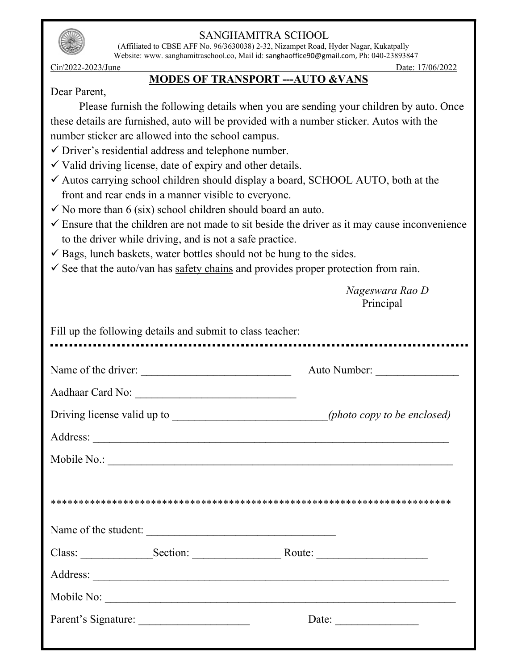

 (Affiliated to CBSE AFF No. 96/3630038) 2-32, Nizampet Road, Hyder Nagar, Kukatpally Website: www. sanghamitraschool.co, Mail id: sanghaoffice90@gmail.com, Ph: 040-23893847

Cir/2022-2023/June Date: 17/06/2022

### MODES OF TRANSPORT ---AUTO &VANS

### Dear Parent,

Please furnish the following details when you are sending your children by auto. Once these details are furnished, auto will be provided with a number sticker. Autos with the number sticker are allowed into the school campus.

 $\checkmark$  Driver's residential address and telephone number.

 $\checkmark$  Valid driving license, date of expiry and other details.

- $\checkmark$  Autos carrying school children should display a board, SCHOOL AUTO, both at the front and rear ends in a manner visible to everyone.
- $\checkmark$  No more than 6 (six) school children should board an auto.
- $\checkmark$  Ensure that the children are not made to sit beside the driver as it may cause inconvenience to the driver while driving, and is not a safe practice.
- $\checkmark$  Bags, lunch baskets, water bottles should not be hung to the sides.
- $\checkmark$  See that the auto/van has safety chains and provides proper protection from rain.

 Nageswara Rao D Principal

|  | Name of the driver:  | Auto Number: |
|--|----------------------|--------------|
|  |                      |              |
|  |                      |              |
|  |                      |              |
|  |                      |              |
|  |                      |              |
|  | Name of the student: |              |
|  |                      | Mobile No.:  |
|  |                      |              |
|  |                      |              |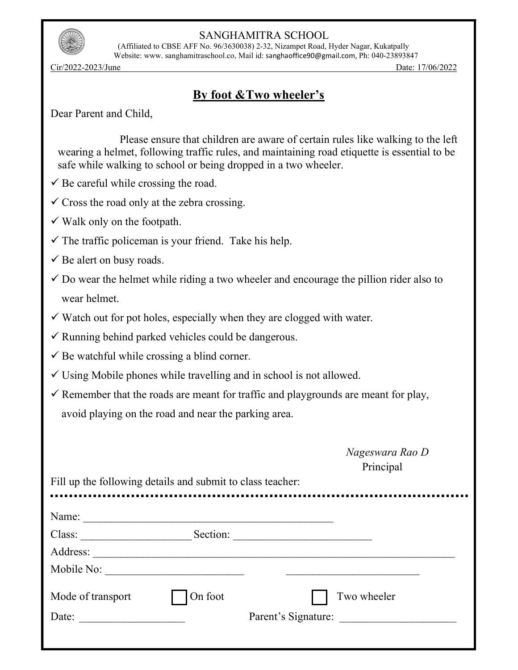

 (Affiliated to CBSE AFF No. 96/3630038) 2-32, Nizampet Road, Hyder Nagar, Kukatpally Website: www. sanghamitraschool.co, Mail id: sanghaoffice90@gmail.com, Ph: 040-23893847

Cir/2022-2023/June Date: 17/06/2022

## By foot &Two wheeler's

Dear Parent and Child,

 Please ensure that children are aware of certain rules like walking to the left wearing a helmet, following traffic rules, and maintaining road etiquette is essential to be safe while walking to school or being dropped in a two wheeler.

- $\checkmark$  Be careful while crossing the road.
- $\checkmark$  Cross the road only at the zebra crossing.
- $\checkmark$  Walk only on the footpath.
- $\checkmark$  The traffic policeman is your friend. Take his help.
- $\checkmark$  Be alert on busy roads.
- $\checkmark$  Do wear the helmet while riding a two wheeler and encourage the pillion rider also to wear helmet.
- $\checkmark$  Watch out for pot holes, especially when they are clogged with water.
- $\checkmark$  Running behind parked vehicles could be dangerous.
- $\checkmark$  Be watchful while crossing a blind corner.
- $\checkmark$  Using Mobile phones while travelling and in school is not allowed.
- $\checkmark$  Remember that the roads are meant for traffic and playgrounds are meant for play, avoid playing on the road and near the parking area.

| Nageswara Rao D |  |
|-----------------|--|
| Principal       |  |

Fill up the following details and submit to class teacher: ................................. Name: \_\_\_\_\_\_\_\_\_\_\_\_\_\_\_\_\_\_\_\_\_\_\_\_\_\_\_\_\_\_\_\_\_\_\_\_\_\_\_\_\_\_\_\_\_ Class: \_\_\_\_\_\_\_\_\_\_\_\_\_\_\_\_\_\_\_\_ Section: \_\_\_\_\_\_\_\_\_\_\_\_\_\_\_\_\_\_\_\_\_\_\_\_\_ Address: \_\_\_\_\_\_\_\_\_\_\_\_\_\_\_\_\_\_\_\_\_\_\_\_\_\_\_\_\_\_\_\_\_\_\_\_\_\_\_\_\_\_\_\_\_\_\_\_\_\_\_\_\_\_\_\_\_\_\_\_\_\_\_\_\_ Mobile No: \_\_\_\_\_\_\_\_\_\_\_\_\_\_\_\_\_\_\_\_\_\_\_\_\_ \_\_\_\_\_\_\_\_\_\_\_\_\_\_\_\_\_\_\_\_\_\_\_\_ Mode of transport  $\Box$  On foot  $\Box$  Two wheeler Date: \_\_\_\_\_\_\_\_\_\_\_\_\_\_\_\_\_\_\_ Parent's Signature: \_\_\_\_\_\_\_\_\_\_\_\_\_\_\_\_\_\_\_\_\_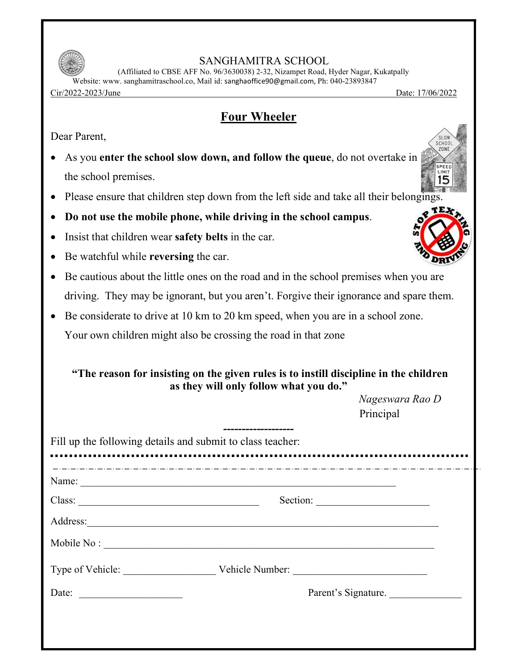

 (Affiliated to CBSE AFF No. 96/3630038) 2-32, Nizampet Road, Hyder Nagar, Kukatpally Website: www. sanghamitraschool.co, Mail id: sanghaoffice90@gmail.com, Ph: 040-23893847

Cir/2022-2023/June Date: 17/06/2022

## Four Wheeler

Dear Parent,

- As you enter the school slow down, and follow the queue, do not overtake in the school premises.
- Please ensure that children step down from the left side and take all their belongings.
- Do not use the mobile phone, while driving in the school campus.
- Insist that children wear **safety belts** in the car.
- Be watchful while reversing the car.
- Be cautious about the little ones on the road and in the school premises when you are driving. They may be ignorant, but you aren't. Forgive their ignorance and spare them.
- Be considerate to drive at 10 km to 20 km speed, when you are in a school zone. Your own children might also be crossing the road in that zone

| "The reason for insisting on the given rules is to instill discipline in the children |  |
|---------------------------------------------------------------------------------------|--|
| as they will only follow what you do."                                                |  |

 Nageswara Rao D Principal

|        | Name:                            |
|--------|----------------------------------|
| Class: | Section:                         |
|        | Address:                         |
|        | Mobile No:                       |
|        | Type of Vehicle: Vehicle Number: |
| Date:  | Parent's Signature.              |



 $\overline{\text{S}}$  0 SCHOO! ZONE

> **SPEE** ..<br>LIMIT 15